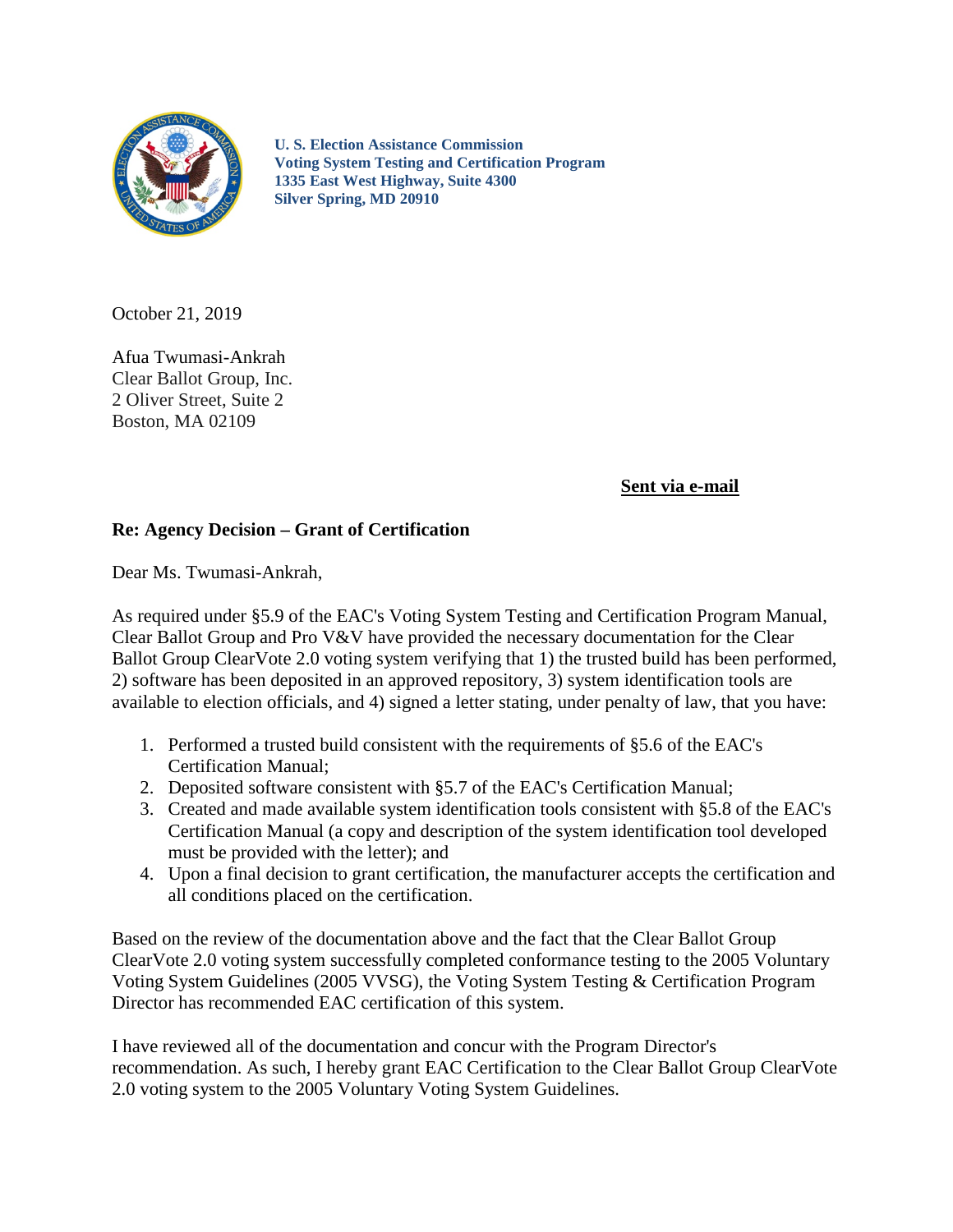

**U. S. Election Assistance Commission Voting System Testing and Certification Program 1335 East West Highway, Suite 4300 Silver Spring, MD 20910**

October 21, 2019

Afua Twumasi-Ankrah Clear Ballot Group, Inc. 2 Oliver Street, Suite 2 Boston, MA 02109

## **Sent via e-mail**

## **Re: Agency Decision – Grant of Certification**

Dear Ms. Twumasi-Ankrah,

As required under §5.9 of the EAC's Voting System Testing and Certification Program Manual, Clear Ballot Group and Pro V&V have provided the necessary documentation for the Clear Ballot Group ClearVote 2.0 voting system verifying that 1) the trusted build has been performed, 2) software has been deposited in an approved repository, 3) system identification tools are available to election officials, and 4) signed a letter stating, under penalty of law, that you have:

- 1. Performed a trusted build consistent with the requirements of §5.6 of the EAC's Certification Manual;
- 2. Deposited software consistent with §5.7 of the EAC's Certification Manual;
- 3. Created and made available system identification tools consistent with §5.8 of the EAC's Certification Manual (a copy and description of the system identification tool developed must be provided with the letter); and
- 4. Upon a final decision to grant certification, the manufacturer accepts the certification and all conditions placed on the certification.

Based on the review of the documentation above and the fact that the Clear Ballot Group ClearVote 2.0 voting system successfully completed conformance testing to the 2005 Voluntary Voting System Guidelines (2005 VVSG), the Voting System Testing & Certification Program Director has recommended EAC certification of this system.

I have reviewed all of the documentation and concur with the Program Director's recommendation. As such, I hereby grant EAC Certification to the Clear Ballot Group ClearVote 2.0 voting system to the 2005 Voluntary Voting System Guidelines.